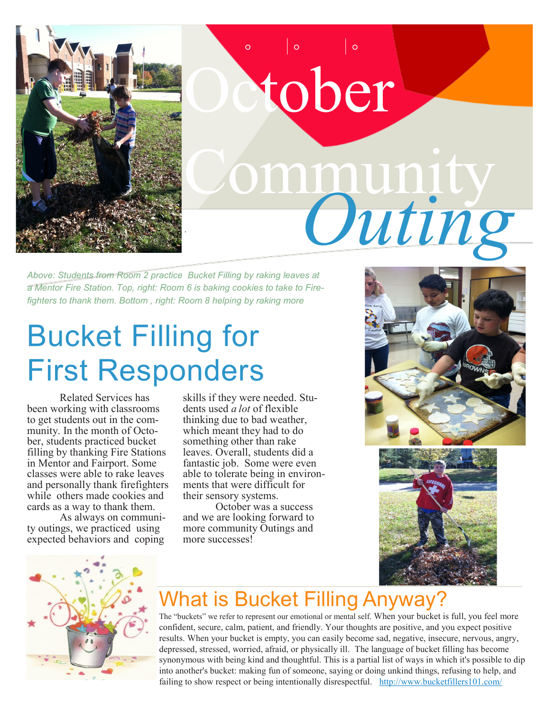

## October Community . *Outing*

*Above: Students from Room 2 practice Bucket Filling by raking leaves at a Mentor Fire Station. Top, right: Room 6 is baking cookies to take to Firefighters to thank them. Bottom , right: Room 8 helping by raking more* 

## Bucket Filling for First Responders

Related Services has been working with classrooms to get students out in the community. In the month of October, students practiced bucket filling by thanking Fire Stations in Mentor and Fairport. Some classes were able to rake leaves and personally thank firefighters while others made cookies and cards as a way to thank them.

As always on community outings, we practiced using expected behaviors and coping

skills if they were needed. Students used *a lot* of flexible thinking due to bad weather, which meant they had to do something other than rake leaves. Overall, students did a fantastic job. Some were even able to tolerate being in environments that were difficult for their sensory systems.

October was a success and we are looking forward to more community Outings and more successes!







## What is Bucket Filling Anyway?

The "buckets" we refer to represent our emotional or mental self. When your bucket is full, you feel more confident, secure, calm, patient, and friendly. Your thoughts are positive, and you expect positive results. When your bucket is empty, you can easily become sad, negative, insecure, nervous, angry, depressed, stressed, worried, afraid, or physically ill. The language of bucket filling has become synonymous with being kind and thoughtful. This is a partial list of ways in which it's possible to dip into another's bucket: making fun of someone, saying or doing unkind things, refusing to help, and failing to show respect or being intentionally disrespectful. [http://www.bucketfillers101.com/](http://www.bucketfillers101.com/faqs.php)